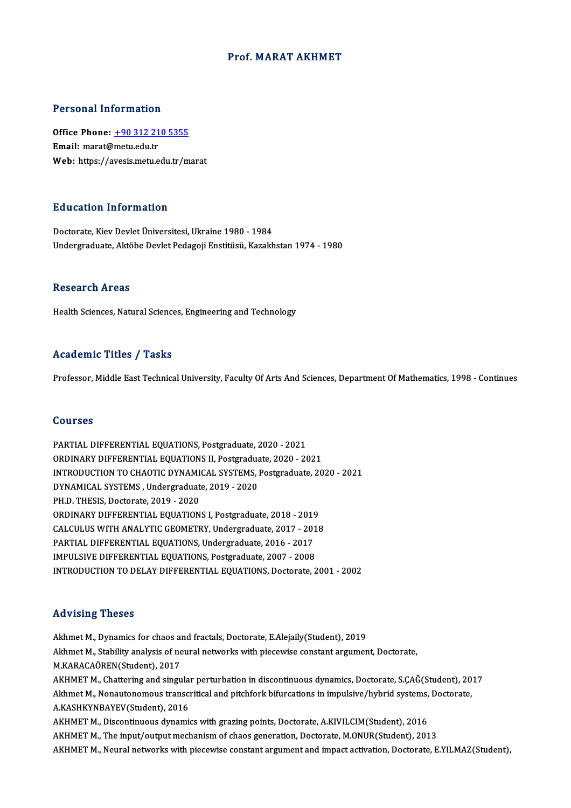### Prof.MARAT AKHMET

### Personal Information

Personal Information<br>Office Phone: <u>+90 312 210 5355</u><br>Email: marat@matu.edu.tr office Phone: <u>+90 312 21</u><br>Email: marat@metu.edu.tr<br>Web. https://avesis.metu.e Email: marat@metu.edu.tr<br>Web: https://a[vesis.metu.edu.tr/m](tel:+90 312 210 5355)arat

### Education Information

Doctorate, Kiev Devlet Üniversitesi, Ukraine 1980 - 1984 Undergraduate, Aktöbe Devlet Pedagoji Enstitüsü, Kazakhstan 1974 - 1980

### **Research Areas**

Health Sciences, Natural Sciences, Engineering and Technology

### Academic Titles / Tasks

Professor, Middle East Technical University, Faculty Of Arts And Sciences, Department Of Mathematics, 1998 - Continues

### Courses

PARTIAL DIFFERENTIAL EQUATIONS, Postgraduate, 2020 - 2021 ORDINARY DIFFERENTIAL EQUATIONS II, Postgraduate, 2020 - 2021 PARTIAL DIFFERENTIAL EQUATIONS, Postgraduate, 2020 - 2021<br>ORDINARY DIFFERENTIAL EQUATIONS II, Postgraduate, 2020 - 2021<br>INTRODUCTION TO CHAOTIC DYNAMICAL SYSTEMS, Postgraduate, 2020 - 2021<br>DYNAMICAL SYSTEMS, Undergraduate, ORDINARY DIFFERENTIAL EQUATIONS II, Postgradua<br>INTRODUCTION TO CHAOTIC DYNAMICAL SYSTEMS, 1<br>DYNAMICAL SYSTEMS , Undergraduate, 2019 - 2020<br>PH D. THESIS, Doctorate, 2019, 2020 INTRODUCTION TO CHAOTIC DYNAMI<br>DYNAMICAL SYSTEMS , Undergraduat<br>PH.D. THESIS, Doctorate, 2019 - 2020<br>OPDINAPY DIEEEPENTIAL FOUATION DYNAMICAL SYSTEMS , Undergraduate, 2019 - 2020<br>PH.D. THESIS, Doctorate, 2019 - 2020<br>ORDINARY DIFFERENTIAL EQUATIONS I, Postgraduate, 2018 - 2019<br>CALCULUS WITH ANALYTIC GEOMETRY, Undergraduate, 2017 - 2019 PH.D. THESIS, Doctorate, 2019 - 2020<br>ORDINARY DIFFERENTIAL EQUATIONS I, Postgraduate, 2018 - 2019<br>CALCULUS WITH ANALYTIC GEOMETRY, Undergraduate, 2017 - 2018<br>RARTIAL DIEEERENTIAL EQUATIONS, Undergraduate, 2016 - 2017 ORDINARY DIFFERENTIAL EQUATIONS I, Postgraduate, 2018 - 2019<br>CALCULUS WITH ANALYTIC GEOMETRY, Undergraduate, 2017 - 201<br>PARTIAL DIFFERENTIAL EQUATIONS, Undergraduate, 2006 - 2017<br>IMBULSIVE DIEFERENTIAL EQUATIONS, Postgradu CALCULUS WITH ANALYTIC GEOMETRY, Undergraduate, 2017 - 2013<br>PARTIAL DIFFERENTIAL EQUATIONS, Undergraduate, 2016 - 2017<br>IMPULSIVE DIFFERENTIAL EQUATIONS, Postgraduate, 2007 - 2008<br>INTRODUCTION TO DELAY DIFFERENTIAL EQUATION PARTIAL DIFFERENTIAL EQUATIONS, Undergraduate, 2016 - 2017<br>IMPULSIVE DIFFERENTIAL EQUATIONS, Postgraduate, 2007 - 2008<br>INTRODUCTION TO DELAY DIFFERENTIAL EQUATIONS, Doctorate, 2001 - 2002

### Advising Theses

Akhmet M., Dynamics for chaos and fractals, Doctorate, E.Alejaily(Student), 2019 Akhmet M., Stability analysis of neural networks with piecewise constant argument, Doctorate, M.KARACAÖREN(Student),2017 Akhmet M., Stability analysis of neural networks with piecewise constant argument, Doctorate,<br>M.KARACAÖREN(Student), 2017<br>AKHMET M., Chattering and singular perturbation in discontinuous dynamics, Doctorate, S.ÇAĞ(Student) M.KARACAÖREN(Student), 2017<br>AKHMET M., Chattering and singular perturbation in discontinuous dynamics, Doctorate, S.ÇAĞ(Student), 20<br>Akhmet M., Nonautonomous transcritical and pitchfork bifurcations in impulsive/hybrid sys AKHMET M., Chattering and singula:<br>Akhmet M., Nonautonomous transcr<br>A.KASHKYNBAYEV(Student), 2016<br>AKHMET M. Discontinuous dunomi Akhmet M., Nonautonomous transcritical and pitchfork bifurcations in impulsive/hybrid systems, Doctorate,<br>A.KASHKYNBAYEV(Student), 2016<br>AKHMET M., Discontinuous dynamics with grazing points, Doctorate, A.KIVILCIM(Student), AKHMET M., The input/output mechanism of chaos generation, Doctorate, M.ONUR(Student), 2013 AKHMET M., Neural networks with piecewise constant argument and impact activation, Doctorate, E.YILMAZ(Student),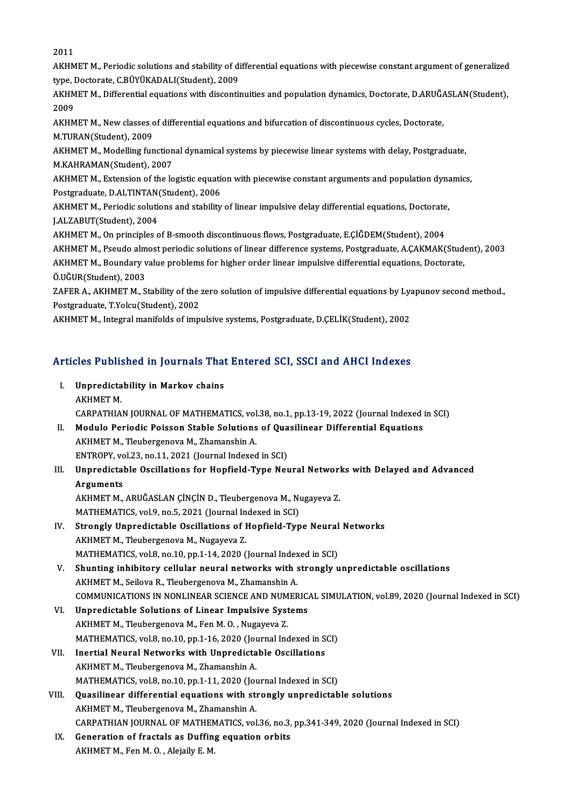2011

2011<br>AKHMET M., Periodic solutions and stability of differential equations with piecewise constant argument of generalized<br>time, Destanste G BÜVÜKADALI(Student), 2009 2011<br>AKHMET M., Periodic solutions and stability of di<br>type, Doctorate, C.BÜYÜKADALI(Student), 2009<br>AKHMET M. Differential squations with discenti AKHMET M., Periodic solutions and stability of differential equations with piecewise constant argument of generalized<br>type, Doctorate, C.BÜYÜKADALI(Student), 2009<br>AKHMET M., Differential equations with discontinuities and

type, Doctorate, C.BÜYÜKADALI(Student), 2009<br>AKHMET M., Differential equations with disconti<br>2009 AKHMET M., Differential equations with discontinuities and population dynamics, Doctorate, D.ARUĞ.<br>2009<br>AKHMET M., New classes of differential equations and bifurcation of discontinuous cycles, Doctorate,<br>M.TUPAN(Student),

2009<br>AKHMET M., New classes c<br>M.TURAN(Student), 2009<br>AKHMET M. Modelling fun

AKHMET M., New classes of differential equations and bifurcation of discontinuous cycles, Doctorate,<br>M.TURAN(Student), 2009<br>AKHMET M., Modelling functional dynamical systems by piecewise linear systems with delay, Postgrad M.TURAN(Student), 2009<br>AKHMET M., Modelling functional dynamical systems by piecewise linear systems with delay, Postgraduate,<br>M.KAHRAMAN(Student), 2007 AKHMET M., Modelling functional dynamical systems by piecewise linear systems with delay, Postgraduate,<br>M.KAHRAMAN(Student), 2007<br>AKHMET M., Extension of the logistic equation with piecewise constant arguments and populati

M.KAHRAMAN(Student), 2007<br>AKHMET M., Extension of the logistic equation<br>Postgraduate, D.ALTINTAN(Student), 2006<br>AKHMET M., Periodic solutions and stability AKHMET M., Extension of the logistic equation with piecewise constant arguments and population dyna<br>Postgraduate, D.ALTINTAN(Student), 2006<br>AKHMET M., Periodic solutions and stability of linear impulsive delay differential

Postgraduate, D.ALTINTAN(Student), 2006<br>AKHMET M., Periodic solutions and stability of linear impulsive delay differential equations, Doctorate,<br>J.ALZABUT(Student), 2004 AKHMET M., Periodic solutions and stability of linear impulsive delay differential equations, Doctorate<br>J.ALZABUT(Student), 2004<br>AKHMET M., On principles of B-smooth discontinuous flows, Postgraduate, E.ÇİĞDEM(Student), 20

J.ALZABUT(Student), 2004<br>AKHMET M., On principles of B-smooth discontinuous flows, Postgraduate, E.ÇİĞDEM(Student), 2004<br>AKHMET M., Pseudo almost periodic solutions of linear difference systems, Postgraduate, A.ÇAKMAK(Stud

AKHMET M., On principles of B-smooth discontinuous flows, Postgraduate, E.ÇİĞDEM(Student), 2004<br>AKHMET M., Pseudo almost periodic solutions of linear difference systems, Postgraduate, A.ÇAKMAK(Stude<br>AKHMET M., Boundary val AKHMET M., Pseudo alm<br>AKHMET M., Boundary v<br>Ö.UĞUR(Student), 2003<br>ZAEED A. A*V*HMET M. S AKHMET M., Boundary value problems for higher order linear impulsive differential equations, Doctorate,<br>Ö.UĞUR(Student), 2003<br>ZAFER A., AKHMET M., Stability of the zero solution of impulsive differential equations by Lyapu

Ö.UĞUR(Student), 2003<br>ZAFER A., AKHMET M., Stability of the :<br>Postgraduate, T.Yolcu(Student), 2002<br>AKHMET M. Integral manifolds of imn

Postgraduate, T.Yolcu(Student), 2002<br>AKHMET M., Integral manifolds of impulsive systems, Postgraduate, D.ÇELİK(Student), 2002

# ARHMET M., Integral manholds of impulsive systems, Postgraduate, D.ÇELIK(Student), 2002<br>Articles Published in Journals That Entered SCI, SSCI and AHCI Indexes

| Articles Published in Journals That Entered SCI, SSCI and AHCI Indexes |                                                                                          |  |  |
|------------------------------------------------------------------------|------------------------------------------------------------------------------------------|--|--|
|                                                                        | I Unpredictability in Markov chains                                                      |  |  |
|                                                                        | AKHMET M                                                                                 |  |  |
|                                                                        | CARPATHIAN JOURNAL OF MATHEMATICS, vol.38, no.1, pp.13-19, 2022 (Journal Indexed in SCI) |  |  |
| П.                                                                     | Modulo Periodic Poisson Stable Solutions of Quasilinear Differential Equations           |  |  |
|                                                                        | AVUMET M Tlaubergeneve M 7bemanship A                                                    |  |  |

- CARPATHIAN JOURNAL OF MATHEMATICS, vol<br>Modulo Periodic Poisson Stable Solutions<br>AKHMET M., Tleubergenova M., Zhamanshin A. Modulo Periodic Poisson Stable Solutions of Qua<br>AKHMET M., Tleubergenova M., Zhamanshin A.<br>ENTROPY, vol.23, no.11, 2021 (Journal Indexed in SCI)<br>Unnredistable Oscillations for Honfield Type Nev
- AKHMET M., Tleubergenova M., Zhamanshin A.<br>ENTROPY, vol.23, no.11, 2021 (Journal Indexed in SCI)<br>III. Unpredictable Oscillations for Hopfield-Type Neural Networks with Delayed and Advanced<br>Arguments ENTROPY, vo<br>Unpredictal<br>Arguments<br>AVUMET M Unpredictable Oscillations for Hopfield-Type Neural Networl<br>Arguments<br>AKHMET M., ARUĞASLAN ÇİNÇİN D., Tleubergenova M., Nugayeva Z.<br>MATHEMATICS .val.9, ne 5, 2021 (Jaunnal Indeved in SCI)

Arguments<br>AKHMET M., ARUĞASLAN ÇİNÇİN D., Tleubergenova M., Nugayeva Z.<br>MATHEMATICS, vol.9, no.5, 2021 (Journal Indexed in SCI) AKHMET M., ARUĞASLAN ÇİNÇİN D., Tleubergenova M., Nugayeva Z.<br>MATHEMATICS, vol.9, no.5, 2021 (Journal Indexed in SCI)<br>IV. Strongly Unpredictable Oscillations of Hopfield-Type Neural Networks

- AKHMET M., Tleubergenova M., Nugayeva Z. Strongly Unpredictable Oscillations of Hopfield-Type Neural<br>AKHMET M., Tleubergenova M., Nugayeva Z.<br>MATHEMATICS, vol.8, no.10, pp.1-14, 2020 (Journal Indexed in SCI)<br>Shunting inhibitory collular noural networks with stron MATHEMATICS, vol.8, no.10, pp.1-14, 2020 (Journal Indexed in SCI)
- V. Shunting inhibitory cellular neural networks with strongly unpredictable oscillations<br>AKHMET M., Seilova R., Tleubergenova M., Zhamanshin A. Shunting inhibitory cellular neural networks with strongly unpredictable oscillations<br>AKHMET M., Seilova R., Tleubergenova M., Zhamanshin A.<br>COMMUNICATIONS IN NONLINEAR SCIENCE AND NUMERICAL SIMULATION, vol.89, 2020 (Journ
- VI. Unpredictable Solutions of Linear Impulsive Systems<br>AKHMET M., Tleubergenova M., Fen M. O., Nugayeva Z. COMMUNICATIONS IN NONLINEAR SCIENCE AND NUM<br>Unpredictable Solutions of Linear Impulsive Syst<br>AKHMET M., Tleubergenova M., Fen M. O. , Nugayeva Z.<br>MATHEMATICS .vol.2, no.10, nn.1, 1, 6, 2020 (Journal Ing MATHEMATICS, vol.8, no.10, pp.1-16, 2020 (Journal Indexed in SCI)
- VII. Inertial Neural Networks with Unpredictable Oscillations AKHMET M., Tleubergenova M., Zhamanshin A. MATHEMATICS, vol.8, no.10, pp.1-11, 2020 (Journal Indexed in SCI) AKHMET M., Tleubergenova M., Zhamanshin A.<br>MATHEMATICS, vol.8, no.10, pp.1-11, 2020 (Journal Indexed in SCI)<br>VIII. Quasilinear differential equations with strongly unpredictable solutions<br>AKHMET M. Tleubergeneur M. Zhamans
- MATHEMATICS, vol.8, no.10, pp.1-11, 2020 (Jou<br>Quasilinear differential equations with st<br>AKHMET M., Tleubergenova M., Zhamanshin A.<br>CARRATHIAN JOURNAL OF MATHEMATICS vol Quasilinear differential equations with strongly unpredictable solutions<br>AKHMET M., Tleubergenova M., Zhamanshin A.<br>CARPATHIAN JOURNAL OF MATHEMATICS, vol.36, no.3, pp.341-349, 2020 (Journal Indexed in SCI)<br>Concration of f AKHMET M., Tleubergenova M., Zhamanshin A.<br>CARPATHIAN JOURNAL OF MATHEMATICS, vol.36, no.3,<br>IX. Generation of fractals as Duffing equation orbits
- CARPATHIAN JOURNAL OF MATHEN<br>Generation of fractals as Duffin<sub>i</sub><br>AKHMET M., Fen M. O. , Alejaily E. M.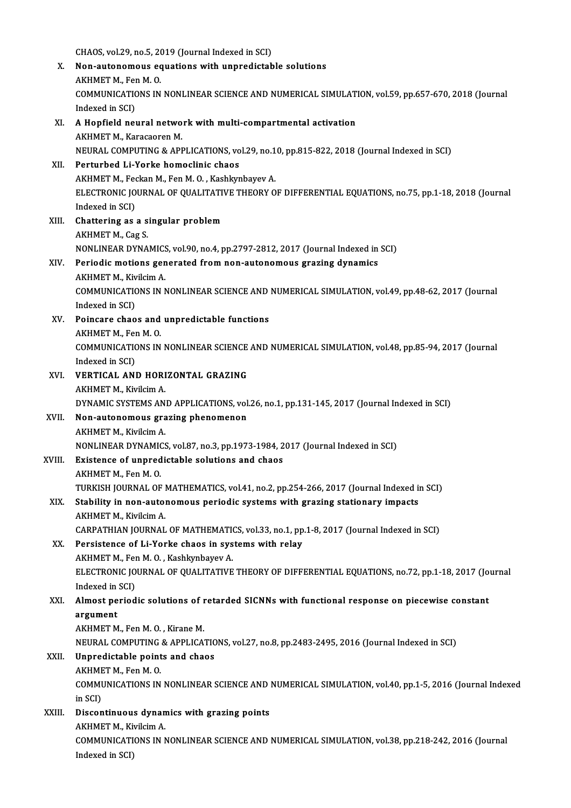- CHAOS, vol.29, no.5, 2019 (Journal Indexed in SCI)<br>Non-autonomous coustions with unnuclistab X. Non-autonomous equations with unpredictable solutions CHAOS, vol.29, no.5, 20<br>Non-autonomous ec<br>AKHMET M., Fen M. O.<br>COMMUNICATIONS IN Non-autonomous equations with unpredictable solutions<br>AKHMET M., Fen M. O.<br>COMMUNICATIONS IN NONLINEAR SCIENCE AND NUMERICAL SIMULATION, vol.59, pp.657-670, 2018 (Journal<br>Indeved in SCD AKHMET M., Fer<br>COMMUNICATIO<br>Indexed in SCI)<br>A Honfield new COMMUNICATIONS IN NONLINEAR SCIENCE AND NUMERICAL SIMULATITUDE Indexed in SCI.<br>XI. A Hopfield neural network with multi-compartmental activation Indexed in SCI)<br>A Hopfield neural netwo<br>AKHMET M., Karacaoren M.<br>NEUPAL COMPUTING & API AKHMET M., Karacaoren M.<br>NEURAL COMPUTING & APPLICATIONS, vol.29, no.10, pp.815-822, 2018 (Journal Indexed in SCI) XII. Perturbed Li-Yorke homoclinic chaos NEURAL COMPUTING & APPLICATIONS, vol.29, no.1<br>Perturbed Li-Yorke homoclinic chaos<br>AKHMET M., Feckan M., Fen M. O. , Kashkynbayev A.<br>ELECTPONIC JOUPNAL OF QUALITATIVE TUEOPV O ELECTRONIC JOURNAL OF QUALITATIVE THEORY OF DIFFERENTIAL EQUATIONS, no.75, pp.1-18, 2018 (Journal Indexed in SCI) AKHMET M., Fee<br>ELECTRONIC JO<br>Indexed in SCI)<br>Chattoring as XIII. Chattering as a singular problem AKHMET M., Cag S. Chattering as a singular problem<br>AKHMET M., Cag S.<br>NONLINEAR DYNAMICS, vol.90, no.4, pp.2797-2812, 2017 (Journal Indexed in SCI)<br>Periodis motions senerated from non-autonemeus sperins dunemiss XIV. Periodic motions generated from non-autonomous grazing dynamics<br>AKHMET M., Kivilcim A. NONLINEAR DYNAMICS<br>Periodic motions gen<br>AKHMET M., Kivilcim A.<br>COMMUNICATIONS IN N Periodic motions generated from non-autonomous grazing dynamics<br>AKHMET M., Kivilcim A.<br>COMMUNICATIONS IN NONLINEAR SCIENCE AND NUMERICAL SIMULATION, vol.49, pp.48-62, 2017 (Journal<br>Indeved in SCD AKHMET M., Kiv<br>COMMUNICATIO<br>Indexed in SCI)<br>Poinsone shao COMMUNICATIONS IN NONLINEAR SCIENCE AND<br>Indexed in SCI)<br>XV. Poincare chaos and unpredictable functions<br>AVUMET M. For M. O. Indexed in SCI)<br>Poincare chaos and<br>AKHMET M., Fen M. O.<br>COMMUNICATIONS IN Poincare chaos and unpredictable functions<br>AKHMET M., Fen M. O.<br>COMMUNICATIONS IN NONLINEAR SCIENCE AND NUMERICAL SIMULATION, vol.48, pp.85-94, 2017 (Journal<br>Indexed in SCD. AKHMET M., Fer<br>COMMUNICATIO<br>Indexed in SCI)<br>VERTICAL ANI COMMUNICATIONS IN NONLINEAR SCIENCE<br>Indexed in SCI)<br>XVI. VERTICAL AND HORIZONTAL GRAZING Indexed in SCI)<br>**VERTICAL AND HORI<br>AKHMET M., Kivilcim A.**<br>DYNAMIC SYSTEMS AN AKHMET M., Kivilcim A.<br>DYNAMIC SYSTEMS AND APPLICATIONS, vol.26, no.1, pp.131-145, 2017 (Journal Indexed in SCI)
- AKHMET M., Kivilcim A.<br>DYNAMIC SYSTEMS AND APPLICATIONS, vol.<br>XVII. Non-autonomous grazing phenomenon DYNAMIC SYSTEMS AN<br>Non-autonomous gra<br>AKHMET M., Kivilcim A.<br>NONI INEAP DYNAMICS Non-autonomous grazing phenomenon<br>AKHMET M., Kivilcim A.<br>NONLINEAR DYNAMICS, vol.87, no.3, pp.1973-1984, 2017 (Journal Indexed in SCI)<br>Evistance of unnredistable selutions and shaos.

# AKHMET M., Kivilcim A.<br>NONLINEAR DYNAMICS, vol.87, no.3, pp.1973-1984, 2<br>XVIII. Existence of unpredictable solutions and chaos<br>AKHMET M., Fen M. O.

NONLINEAR DYNAMIC<br>Existence of unpred<br>AKHMET M., Fen M. O.<br>TURVISH JOURNAL OF

Existence of unpredictable solutions and chaos<br>AKHMET M., Fen M. O.<br>TURKISH JOURNAL OF MATHEMATICS, vol.41, no.2, pp.254-266, 2017 (Journal Indexed in SCI)<br>Stability in non-autonomous noviadis systems with spasing stationa

## AKHMET M., Fen M. O.<br>TURKISH JOURNAL OF MATHEMATICS, vol.41, no.2, pp.254-266, 2017 (Journal Indexed in<br>XIX. Stability in non-autonomous periodic systems with grazing stationary impacts<br>AVUMET M. Vivilsim A TURKISH JOURNAL OF I<br>Stability in non-autor<br>AKHMET M., Kivilcim A.<br>CARRATHIAN JOURNAL Stability in non-autonomous periodic systems with grazing stationary impacts<br>AKHMET M., Kivilcim A.<br>CARPATHIAN JOURNAL OF MATHEMATICS, vol.33, no.1, pp.1-8, 2017 (Journal Indexed in SCI)<br>Persistance of Li Yorke shaos in sy

## AKHMET M., Kivilcim A.<br>CARPATHIAN JOURNAL OF MATHEMATICS, vol.33, no.1, pp<br>XX. Persistence of Li-Yorke chaos in systems with relay<br>AKHMET M., Fen M. O., Kashkynbayev A. CARPATHIAN JOURNAL OF MATHEMATION<br>Persistence of Li-Yorke chaos in sys<br>AKHMET M., Fen M. O. , Kashkynbayev A.<br>ELECTPONIC JOUPNAL OF OUALITATIVE

Persistence of Li-Yorke chaos in systems with relay<br>AKHMET M., Fen M. O. , Kashkynbayev A.<br>ELECTRONIC JOURNAL OF QUALITATIVE THEORY OF DIFFERENTIAL EQUATIONS, no.72, pp.1-18, 2017 (Journal<br>Indoved in SCD. AKHMET M., Fer<br>ELECTRONIC JO<br>Indexed in SCI)<br>Almost noried ELECTRONIC JOURNAL OF QUALITATIVE THEORY OF DIFFERENTIAL EQUATIONS, no.72, pp.1-18, 2017 (Jo<br>Indexed in SCI)<br>XXI. Almost periodic solutions of retarded SICNNs with functional response on piecewise constant<br>argument

## Indexed in<br>Almost pe<br>argument<br>ALLIMET M Almost periodic solutions of r<br>argument<br>AKHMET M., Fen M. O. , Kirane M.<br>NEUPAL COMBUTING & APPLICA. argument<br>AKHMET M., Fen M. O. , Kirane M.<br>NEURAL COMPUTING & APPLICATIONS, vol.27, no.8, pp.2483-2495, 2016 (Journal Indexed in SCI)

## AKHMET M., Fen M. O., Kirane M.<br>NEURAL COMPUTING & APPLICATIC<br>XXII. Unpredictable points and chaos<br>AKHMET M., Fen M. O. NEURAL COMPUTING<br>Unpredictable point<br>AKHMET M., Fen M. O.<br>COMMUNICATIONS IN

Unpredictable points and chaos<br>AKHMET M., Fen M. O.<br>COMMUNICATIONS IN NONLINEAR SCIENCE AND NUMERICAL SIMULATION, vol.40, pp.1-5, 2016 (Journal Indexed<br>in SCD AKHME<br>COMMI<br>in SCI)<br>Discon COMMUNICATIONS IN NONLINEAR SCIENCE AND 1<br>in SCI)<br>XXIII. Discontinuous dynamics with grazing points

## in SCI)<br>Discontinuous dynan<br>AKHMET M., Kivilcim A.<br>COMMUNICATIONS IN N Discontinuous dynamics with grazing points<br>AKHMET M., Kivilcim A.<br>COMMUNICATIONS IN NONLINEAR SCIENCE AND NUMERICAL SIMULATION, vol.38, pp.218-242, 2016 (Journal AKHMET M., Ki<br>COMMUNICATI<br>Indexed in SCI)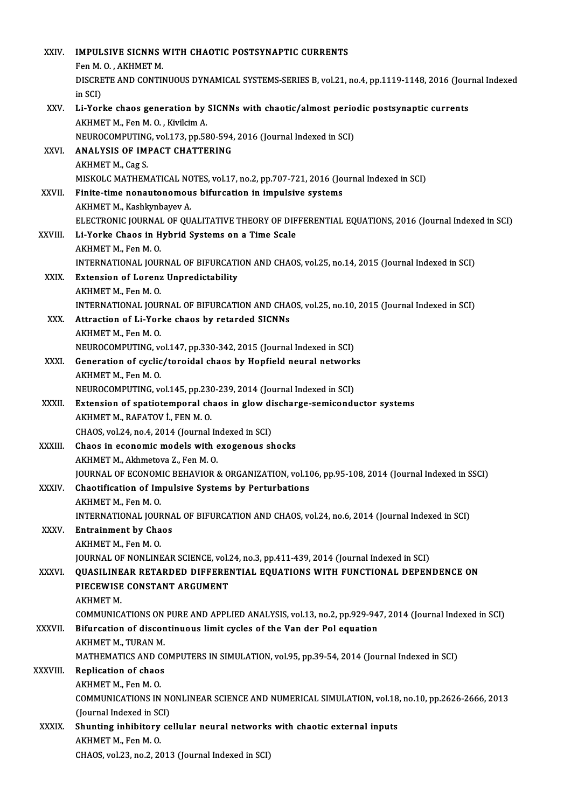| XXIV.         | <b>IMPULSIVE SICNNS WITH CHAOTIC POSTSYNAPTIC CURRENTS</b>                                                              |
|---------------|-------------------------------------------------------------------------------------------------------------------------|
|               | Fen M.O., AKHMET M.                                                                                                     |
|               | DISCRETE AND CONTINUOUS DYNAMICAL SYSTEMS-SERIES B, vol.21, no.4, pp.1119-1148, 2016 (Journal Indexed                   |
|               | in SCI)                                                                                                                 |
| XXV.          | Li-Yorke chaos generation by SICNNs with chaotic/almost periodic postsynaptic currents                                  |
|               | AKHMET M., Fen M. O., Kivilcim A.                                                                                       |
|               | NEUROCOMPUTING, vol.173, pp.580-594, 2016 (Journal Indexed in SCI)                                                      |
| XXVI.         | <b>ANALYSIS OF IMPACT CHATTERING</b>                                                                                    |
|               | AKHMET M, Cag S                                                                                                         |
|               | MISKOLC MATHEMATICAL NOTES, vol.17, no.2, pp.707-721, 2016 (Journal Indexed in SCI)                                     |
| XXVII.        | Finite-time nonautonomous bifurcation in impulsive systems                                                              |
|               | AKHMET M., Kashkynbayev A.                                                                                              |
|               | ELECTRONIC JOURNAL OF QUALITATIVE THEORY OF DIFFERENTIAL EQUATIONS, 2016 (Journal Indexed in SCI)                       |
| XXVIII.       | Li-Yorke Chaos in Hybrid Systems on a Time Scale                                                                        |
|               | AKHMET M., Fen M.O.                                                                                                     |
|               | INTERNATIONAL JOURNAL OF BIFURCATION AND CHAOS, vol.25, no.14, 2015 (Journal Indexed in SCI)                            |
| XXIX.         | <b>Extension of Lorenz Unpredictability</b>                                                                             |
|               | AKHMET M., Fen M.O.                                                                                                     |
|               | INTERNATIONAL JOURNAL OF BIFURCATION AND CHAOS, vol.25, no.10, 2015 (Journal Indexed in SCI)                            |
| XXX.          | Attraction of Li-Yorke chaos by retarded SICNNs                                                                         |
|               | AKHMET M., Fen M.O.                                                                                                     |
| XXXI.         | NEUROCOMPUTING, vol.147, pp.330-342, 2015 (Journal Indexed in SCI)                                                      |
|               | Generation of cyclic/toroidal chaos by Hopfield neural networks<br>AKHMET M., Fen M.O.                                  |
|               | NEUROCOMPUTING, vol.145, pp.230-239, 2014 (Journal Indexed in SCI)                                                      |
| XXXII.        | Extension of spatiotemporal chaos in glow discharge-semiconductor systems                                               |
|               | AKHMET M., RAFATOV İ., FEN M. O.                                                                                        |
|               | CHAOS, vol.24, no.4, 2014 (Journal Indexed in SCI)                                                                      |
| XXXIII.       | Chaos in economic models with exogenous shocks                                                                          |
|               | AKHMET M., Akhmetova Z., Fen M.O.                                                                                       |
|               | JOURNAL OF ECONOMIC BEHAVIOR & ORGANIZATION, vol.106, pp.95-108, 2014 (Journal Indexed in SSCI)                         |
| XXXIV.        | Chaotification of Impulsive Systems by Perturbations                                                                    |
|               | AKHMET M., Fen M.O.                                                                                                     |
|               | INTERNATIONAL JOURNAL OF BIFURCATION AND CHAOS, vol.24, no.6, 2014 (Journal Indexed in SCI)                             |
| XXXV.         | <b>Entrainment by Chaos</b>                                                                                             |
|               | AKHMET M., Fen M.O.                                                                                                     |
|               | JOURNAL OF NONLINEAR SCIENCE, vol.24, no.3, pp.411-439, 2014 (Journal Indexed in SCI)                                   |
| XXXVI.        | QUASILINEAR RETARDED DIFFERENTIAL EQUATIONS WITH FUNCTIONAL DEPENDENCE ON                                               |
|               | PIECEWISE CONSTANT ARGUMENT                                                                                             |
|               | <b>AKHMET M.</b>                                                                                                        |
|               | COMMUNICATIONS ON PURE AND APPLIED ANALYSIS, vol.13, no.2, pp.929-947, 2014 (Journal Indexed in SCI)                    |
| <b>XXXVII</b> | Bifurcation of discontinuous limit cycles of the Van der Pol equation                                                   |
|               | AKHMET M., TURAN M.                                                                                                     |
| XXXVIII.      | MATHEMATICS AND COMPUTERS IN SIMULATION, vol.95, pp.39-54, 2014 (Journal Indexed in SCI)<br><b>Replication of chaos</b> |
|               | AKHMET M., Fen M.O.                                                                                                     |
|               | COMMUNICATIONS IN NONLINEAR SCIENCE AND NUMERICAL SIMULATION, vol.18, no.10, pp.2626-2666, 2013                         |
|               | (Journal Indexed in SCI)                                                                                                |
| <b>XXXIX</b>  | Shunting inhibitory cellular neural networks with chaotic external inputs                                               |
|               | AKHMET M., Fen M.O.                                                                                                     |
|               | CHAOS, vol.23, no.2, 2013 (Journal Indexed in SCI)                                                                      |
|               |                                                                                                                         |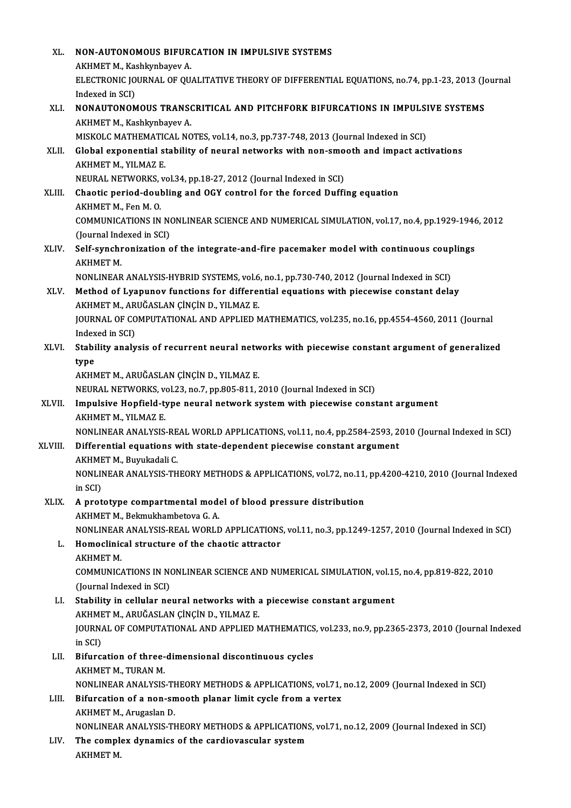| XL.     | NON-AUTONOMOUS BIFURCATION IN IMPULSIVE SYSTEMS                                                                                                     |
|---------|-----------------------------------------------------------------------------------------------------------------------------------------------------|
|         | AKHMET M., Kashkynbayev A.                                                                                                                          |
|         | ELECTRONIC JOURNAL OF QUALITATIVE THEORY OF DIFFERENTIAL EQUATIONS, no.74, pp.1-23, 2013 (Journal                                                   |
|         | Indexed in SCI)                                                                                                                                     |
| XLI.    | NONAUTONOMOUS TRANSCRITICAL AND PITCHFORK BIFURCATIONS IN IMPULSIVE SYSTEMS                                                                         |
|         | AKHMET M., Kashkynbayev A.                                                                                                                          |
|         | MISKOLC MATHEMATICAL NOTES, vol.14, no.3, pp.737-748, 2013 (Journal Indexed in SCI)                                                                 |
| XLII.   | Global exponential stability of neural networks with non-smooth and impact activations                                                              |
|         | AKHMET M., YILMAZ E.                                                                                                                                |
|         | NEURAL NETWORKS, vol.34, pp.18-27, 2012 (Journal Indexed in SCI)                                                                                    |
| XLIII.  | Chaotic period-doubling and OGY control for the forced Duffing equation                                                                             |
|         | AKHMET M., Fen M.O.                                                                                                                                 |
|         | COMMUNICATIONS IN NONLINEAR SCIENCE AND NUMERICAL SIMULATION, vol.17, no.4, pp.1929-1946, 2012                                                      |
|         | (Journal Indexed in SCI)                                                                                                                            |
| XLIV.   | Self-synchronization of the integrate-and-fire pacemaker model with continuous couplings<br>АКНМЕТ М.                                               |
|         | NONLINEAR ANALYSIS-HYBRID SYSTEMS, vol.6, no.1, pp.730-740, 2012 (Journal Indexed in SCI)                                                           |
| XLV.    | Method of Lyapunov functions for differential equations with piecewise constant delay                                                               |
|         | AKHMET M., ARUĞASLAN ÇİNÇİN D., YILMAZ E.                                                                                                           |
|         | JOURNAL OF COMPUTATIONAL AND APPLIED MATHEMATICS, vol.235, no.16, pp.4554-4560, 2011 (Journal                                                       |
|         | Indexed in SCI)                                                                                                                                     |
| XLVI.   | Stability analysis of recurrent neural networks with piecewise constant argument of generalized                                                     |
|         | type                                                                                                                                                |
|         | AKHMET M., ARUĞASLAN ÇİNÇİN D., YILMAZ E.                                                                                                           |
|         | NEURAL NETWORKS, vol.23, no.7, pp.805-811, 2010 (Journal Indexed in SCI)                                                                            |
| XLVII.  | Impulsive Hopfield-type neural network system with piecewise constant argument<br>AKHMET M, YILMAZ E                                                |
|         | NONLINEAR ANALYSIS-REAL WORLD APPLICATIONS, vol.11, no.4, pp.2584-2593, 2010 (Journal Indexed in SCI)                                               |
| XLVIII. | Differential equations with state-dependent piecewise constant argument                                                                             |
|         | AKHMET M., Buyukadali C.                                                                                                                            |
|         | NONLINEAR ANALYSIS-THEORY METHODS & APPLICATIONS, vol.72, no.11, pp.4200-4210, 2010 (Journal Indexed                                                |
|         | in SCI)                                                                                                                                             |
| XLIX.   | A prototype compartmental model of blood pressure distribution<br>AKHMET M., Bekmukhambetova G. A.                                                  |
|         | NONLINEAR ANALYSIS-REAL WORLD APPLICATIONS, vol.11, no.3, pp.1249-1257, 2010 (Journal Indexed in SCI)                                               |
| L.      | Homoclinical structure of the chaotic attractor                                                                                                     |
|         | <b>AKHMET M.</b>                                                                                                                                    |
|         | COMMUNICATIONS IN NONLINEAR SCIENCE AND NUMERICAL SIMULATION, vol.15, no.4, pp.819-822, 2010                                                        |
|         | (Journal Indexed in SCI)                                                                                                                            |
| LI.     | Stability in cellular neural networks with a piecewise constant argument                                                                            |
|         | AKHMET M., ARUĞASLAN ÇİNÇİN D., YILMAZ E.                                                                                                           |
|         | JOURNAL OF COMPUTATIONAL AND APPLIED MATHEMATICS, vol.233, no.9, pp.2365-2373, 2010 (Journal Indexed                                                |
|         | in SCI)                                                                                                                                             |
| LII.    | Bifurcation of three-dimensional discontinuous cycles                                                                                               |
|         | AKHMET M, TURAN M.                                                                                                                                  |
|         | NONLINEAR ANALYSIS-THEORY METHODS & APPLICATIONS, vol.71, no.12, 2009 (Journal Indexed in SCI)                                                      |
| LIII.   | Bifurcation of a non-smooth planar limit cycle from a vertex                                                                                        |
|         | AKHMET M., Arugaslan D.                                                                                                                             |
| LIV.    | NONLINEAR ANALYSIS-THEORY METHODS & APPLICATIONS, vol.71, no.12, 2009 (Journal Indexed in SCI)<br>The complex dynamics of the cardiovascular system |
|         | <b>AKHMET M.</b>                                                                                                                                    |
|         |                                                                                                                                                     |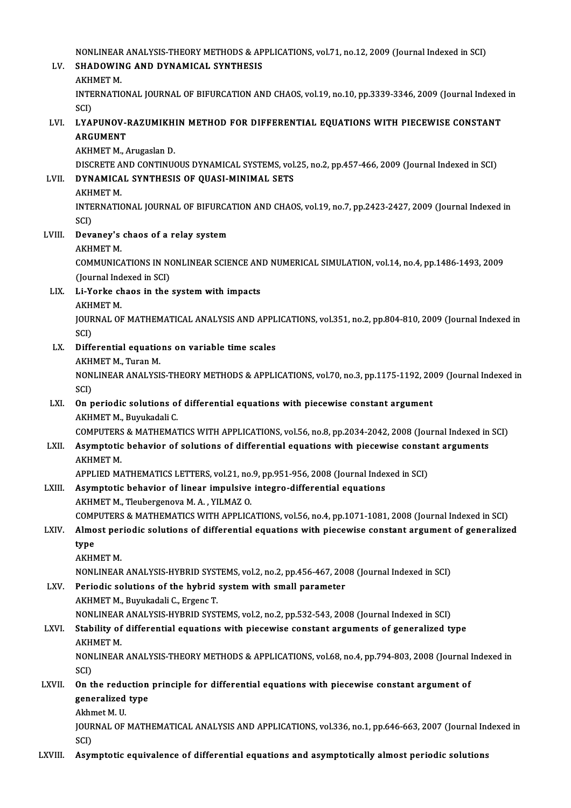NONLINEAR ANALYSIS-THEORY METHODS & APPLICATIONS, vol.71, no.12, 2009 (Journal Indexed in SCI)<br>SHADOWING AND DYNAMICAL SYNTHESIS

# NONLINEAR ANALYSIS-THEORY METHODS & AP<br>LV. SHADOWING AND DYNAMICAL SYNTHESIS NONLINEAR<br>SHADOWIN<br>AKHMET M.<br>INTERNATIC

SHADOWING AND DYNAMICAL SYNTHESIS<br>AKHMET M.<br>INTERNATIONAL JOURNAL OF BIFURCATION AND CHAOS, vol.19, no.10, pp.3339-3346, 2009 (Journal Indexed in<br>SCD **AKH**<br>INTE<br>SCI)<br>I VAI INTERNATIONAL JOURNAL OF BIFURCATION AND CHAOS, vol.19, no.10, pp.3339-3346, 2009 (Journal Indexed<br>SCI)<br>APCUMENT<br>APCUMENT

# SCI)<br>LYAPUNOV-I<br>ARGUMENT<br>AKHMET M LYAPUNOV-RAZUMIKH<br>ARGUMENT<br>AKHMET M., Arugaslan D.<br>DISCRETE AND CONTINU

ARGUMENT<br>AKHMET M., Arugaslan D.<br>DISCRETE AND CONTINUOUS DYNAMICAL SYSTEMS, vol.25, no.2, pp.457-466, 2009 (Journal Indexed in SCI)<br>DYNAMICAL SYNTHESIS OF QUASL MINIMAL SETS DISCRETE A<br><mark>DYNAMICA</mark><br>AKHMET M.<br>INTERNATIC

# AKHMET M., Arugaslan D.<br>DISCRETE AND CONTINUOUS DYNAMICAL SYSTEMS, vol<br>LVII. DYNAMICAL SYNTHESIS OF QUASI-MINIMAL SETS<br>AKHMET M.

DYNAMICAL SYNTHESIS OF QUASI-MINIMAL SETS<br>AKHMET M.<br>INTERNATIONAL JOURNAL OF BIFURCATION AND CHAOS, vol.19, no.7, pp.2423-2427, 2009 (Journal Indexed in<br>SCD AKH<br>INTE<br>SCI)<br>Daw INTERNATIONAL JOURNAL OF BIFURCA<br>SCI)<br>LVIII. Devaney's chaos of a relay system SCI)<br>Devaney's<br>AKHMET M.<br>COMMUNIC

Devaney's chaos of a relay system<br>AKHMET M.<br>COMMUNICATIONS IN NONLINEAR SCIENCE AND NUMERICAL SIMULATION, vol.14, no.4, pp.1486-1493, 2009<br>(Jaurnal Indoved in SCI) AKHMET M.<br>COMMUNICATIONS IN NO<br>(Journal Indexed in SCI)<br>Li Yorke shaes in the (Journal Indexed in SCI)

### LIX. Li-Yorke chaos in the system with impacts<br>AKHMET M.

Li-Yorke chaos in the system with impacts<br>AKHMET M.<br>JOURNAL OF MATHEMATICAL ANALYSIS AND APPLICATIONS, vol.351, no.2, pp.804-810, 2009 (Journal Indexed in<br>SCD AKH<br>JOUR<br>SCI)<br>Diffe JOURNAL OF MATHEMATICAL ANALYSIS AND APPL<br>SCI)<br>LX. Differential equations on variable time scales<br>AVUMET M Turan M

# SCI)<br>LX. Differential equations on variable time scales<br>AKHMET M., Turan M.

Differential equations on variable time scales<br>AKHMET M., Turan M.<br>NONLINEAR ANALYSIS-THEORY METHODS & APPLICATIONS, vol.70, no.3, pp.1175-1192, 2009 (Journal Indexed in<br>SCD AKH<br>NON<br>SCI)<br>On n NONLINEAR ANALYSIS-THEORY METHODS & APPLICATIONS, vol.70, no.3, pp.1175-1192, 20<br>SCI)<br>LXI. On periodic solutions of differential equations with piecewise constant argument<br>AKUMET M. Burukedali C

# SCI)<br>LXI. On periodic solutions of differential equations with piecewise constant argument<br>AKHMET M., Buyukadali C.

COMPUTERS&MATHEMATICSWITHAPPLICATIONS,vol.56,no.8,pp.2034-2042,2008 (Journal Indexed inSCI)

## AKHMET M., Buyukadali C.<br>COMPUTERS & MATHEMATICS WITH APPLICATIONS, vol.56, no.8, pp.2034-2042, 2008 (Journal Indexed in<br>LXII. Asymptotic behavior of solutions of differential equations with piecewise constant arguments<br>AV COMPUTERS<br>Asymptotic<br>AKHMET M.<br>ARRI JED M. Asymptotic behavior of solutions of differential equations with piecewise consta<br>AKHMET M.<br>APPLIED MATHEMATICS LETTERS, vol.21, no.9, pp.951-956, 2008 (Journal Indexed in SCI)<br>Asymptotic behavior of linear impulsive integr

### AKHMET M.<br>APPLIED MATHEMATICS LETTERS, vol.21, no.9, pp.951-956, 2008 (Journal Index<br>LXIII. Asymptotic behavior of linear impulsive integro-differential equations APPLIED MATHEMATICS LETTERS, vol.21, no.<br>Asymptotic behavior of linear impulsive<br>AKHMET M., Tleubergenova M. A. , YILMAZ O.<br>COMPUTERS & MATHEMATICS WITH APPLIC. Asymptotic behavior of linear impulsive integro-differential equations<br>AKHMET M., Tleubergenova M. A. , YILMAZ O.<br>COMPUTERS & MATHEMATICS WITH APPLICATIONS, vol.56, no.4, pp.1071-1081, 2008 (Journal Indexed in SCI)<br>Almest AKHMET M., Tleubergenova M. A. , YILMAZ 0.<br>COMPUTERS & MATHEMATICS WITH APPLICATIONS, vol.56, no.4, pp.1071-1081, 2008 (Journal Indexed in SCI)<br>LXIV. Almost periodic solutions of differential equations with piecewise const

## COMF<br>Almo<br>type<br>AKHA LXIV. Almost periodic solutions of differential equations with piecewise constant argument of generalized<br>type<br>AKHMET M.

type<br>AKHMET M.<br>NONLINEAR ANALYSIS-HYBRID SYSTEMS, vol.2, no.2, pp.456-467, 2008 (Journal Indexed in SCI)<br>Periodis solutions of the bybrid system with small narameter.

AKHMET M.<br>NONLINEAR ANALYSIS-HYBRID SYSTEMS, vol.2, no.2, pp.456-467, 200<br>LXV. Periodic solutions of the hybrid system with small parameter<br>AKHMET M. Burukadali C. Exsons T. NONLINEAR ANALYSIS-HYBRID SYST<br>Periodic solutions of the hybrid<br>AKHMET M., Buyukadali C., Ergenc T.<br>NONLINEAR ANALYSIS HYPRID SYST Periodic solutions of the hybrid system with small parameter<br>AKHMET M., Buyukadali C., Ergenc T.<br>NONLINEAR ANALYSIS-HYBRID SYSTEMS, vol.2, no.2, pp.532-543, 2008 (Journal Indexed in SCI)<br>Stability of differential equations

### AKHMET M., Buyukadali C., Ergenc T.<br>NONLINEAR ANALYSIS-HYBRID SYSTEMS, vol.2, no.2, pp.532-543, 2008 (Journal Indexed in SCI)<br>LXVI. Stability of differential equations with piecewise constant arguments of generalized type<br> NONLINEAR<br>Stability of<br>AKHMET M.<br>NONLINEAR Stability of differential equations with piecewise constant arguments of generalized type<br>AKHMET M.<br>NONLINEAR ANALYSIS-THEORY METHODS & APPLICATIONS, vol.68, no.4, pp.794-803, 2008 (Journal Indexed in<br>SCD

AKH<br>NON<br>SCI)<br>On t NONLINEAR ANALYSIS-THEORY METHODS & APPLICATIONS, vol.68, no.4, pp.794-803, 2008 (Journal l<br>SCI)<br>LXVII. On the reduction principle for differential equations with piecewise constant argument of

### SCI)<br>On the reduction<br>generalized type<br>Althmat M. H On the redu<br>generalized<br>Akhmet M. U.<br>JOUPMAL OF generalized type<br>Akhmet M. U.<br>JOURNAL OF MATHEMATICAL ANALYSIS AND APPLICATIONS, vol.336, no.1, pp.646-663, 2007 (Journal Indexed in

SCI)

### LXVIII. Asymptotic equivalence of differential equations and asymptotically almost periodic solutions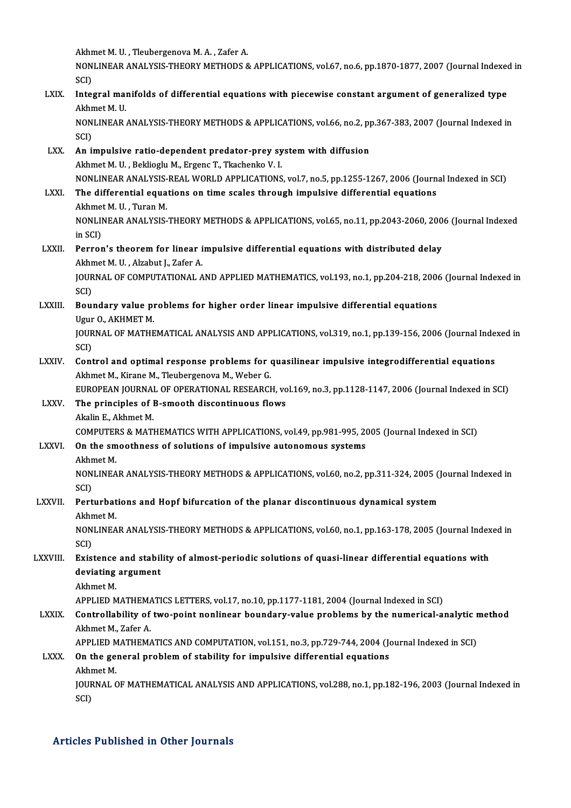Akhmet M.U., Tleubergenova M.A., Zafer A. Akhmet M. U. , Tleubergenova M. A. , Zafer A.<br>NONLINEAR ANALYSIS-THEORY METHODS & APPLICATIONS, vol.67, no.6, pp.1870-1877, 2007 (Journal Indexed in Akhr<br>NON<br>SCI)<br>Inter NONLINEAR ANALYSIS-THEORY METHODS & APPLICATIONS, vol.67, no.6, pp.1870-1877, 2007 (Journal Indexed<br>SCI)<br>Althmat M. II SCI)<br>I<mark>ntegral ma</mark>i<br>Akhmet M. U.<br>NONI INFAP Integral manifolds of differential equations with piecewise constant argument of generalized type<br>Akhmet M. U.<br>NONLINEAR ANALYSIS-THEORY METHODS & APPLICATIONS, vol.66, no.2, pp.367-383, 2007 (Journal Indexed in<br>SCD Akhmet M. U.<br>NONLINEAR ANALYSIS-THEORY METHODS & APPLICATIONS, vol.66, no.2, pp.367-383, 2007 (Journal Indexed in<br>SCI) NONLINEAR ANALYSIS-THEORY METHODS & APPLICATIONS, vol.66, no.2, p<br>SCI)<br>LXX. An impulsive ratio-dependent predator-prey system with diffusion<br>Althmat M. U. Bakkiagly M. Excape T. Tkashanka V. J. SCI)<br>An impulsive ratio-dependent predator-prey sy<br>Akhmet M. U. , Beklioglu M., Ergenc T., Tkachenko V. I.<br>NONI INFAR ANALYSIS REAL WORLD APPLICATIONS An impulsive ratio-dependent predator-prey system with diffusion<br>Akhmet M. U. , Beklioglu M., Ergenc T., Tkachenko V. I.<br>NONLINEAR ANALYSIS-REAL WORLD APPLICATIONS, vol.7, no.5, pp.1255-1267, 2006 (Journal Indexed in SCI)<br> Akhmet M. U. , Beklioglu M., Ergenc T., Tkachenko V. I.<br>NONLINEAR ANALYSIS-REAL WORLD APPLICATIONS, vol.7, no.5, pp.1255-1267, 2006 (Journ<br>LXXI. The differential equations on time scales through impulsive differential equa NONLINEAR ANALYSIS-<br>The differential equa<br>Akhmet M. U. , Turan M.<br>NONLINEAR ANALYSIS The differential equations on time scales through impulsive differential equations<br>Akhmet M. U. , Turan M.<br>NONLINEAR ANALYSIS-THEORY METHODS & APPLICATIONS, vol.65, no.11, pp.2043-2060, 2006 (Journal Indexed<br>in SCD Akhmet<br>NONLII<br>in SCI)<br>Perrer NONLINEAR ANALYSIS-THEORY METHODS & APPLICATIONS, vol.65, no.11, pp.2043-2060, 200<br>in SCI)<br>LXXII. Perron's theorem for linear impulsive differential equations with distributed delay in SCI)<br><mark>Perron's theorem for linear i</mark><br>Akhmet M. U. , Alzabut J., Zafer A.<br>JOUPMAL OF COMBUTATIONAL A Perron's theorem for linear impulsive differential equations with distributed delay<br>Akhmet M. U. , Alzabut J., Zafer A.<br>JOURNAL OF COMPUTATIONAL AND APPLIED MATHEMATICS, vol.193, no.1, pp.204-218, 2006 (Journal Indexed in<br> Akhr<br>JOUR<br>SCI)<br>Bou JOURNAL OF COMPUTATIONAL AND APPLIED MATHEMATICS, vol.193, no.1, pp.204-218, 200<br>SCI)<br>LXXIII. Boundary value problems for higher order linear impulsive differential equations<br>LIGUE O AVUMET M SCI)<br><mark>Boundary value p</mark>i<br>Ugur O., AKHMET M.<br>JOUPMAL OE MATHE JOURNAL OF MATHEMATICAL ANALYSIS AND APPLICATIONS, vol.319, no.1, pp.139-156, 2006 (Journal Indexed in SCI) Ugur O., AKHMET M. JOURNAL OF MATHEMATICAL ANALYSIS AND APPLICATIONS, vol.319, no.1, pp.139-156, 2006 (Journal Inde<br>SCI)<br>LXXIV. Control and optimal response problems for quasilinear impulsive integrodifferential equations<br>Althmat M. Kirano M SCI)<br>Control and optimal response problems for **(**<br>Akhmet M., Kirane M., Tleubergenova M., Weber G.<br>FUROPEAN JOURNAL OF OPERATIONAL RESEARCH Control and optimal response problems for quasilinear impulsive integrodifferential equations<br>Akhmet M., Kirane M., Tleubergenova M., Weber G.<br>EUROPEAN JOURNAL OF OPERATIONAL RESEARCH, vol.169, no.3, pp.1128-1147, 2006 (Jo Akhmet M., Kirane M., Tleubergenova M., Weber G.<br>EUROPEAN JOURNAL OF OPERATIONAL RESEARCH, vo<br>LXXV. The principles of B-smooth discontinuous flows EUROPEAN JOURNA<br>The principles of l<br>Akalin E., Akhmet M.<br>COMPUTERS & MATI The principles of B-smooth discontinuous flows<br>Akalin E., Akhmet M.<br>COMPUTERS & MATHEMATICS WITH APPLICATIONS, vol.49, pp.981-995, 2005 (Journal Indexed in SCI) Akalin E., Akhmet M.<br>COMPUTERS & MATHEMATICS WITH APPLICATIONS, vol.49, pp.981-995, 20<br>LXXVI. On the smoothness of solutions of impulsive autonomous systems COMPUTEF<br>**On the sm**<br>Akhmet M.<br>NONI INFA On the smoothness of solutions of impulsive autonomous systems<br>Akhmet M.<br>NONLINEAR ANALYSIS-THEORY METHODS & APPLICATIONS, vol.60, no.2, pp.311-324, 2005 (Journal Indexed in<br>SCD Akhr<br>NON<br>SCI)<br>Port NONLINEAR ANALYSIS-THEORY METHODS & APPLICATIONS, vol.60, no.2, pp.311-324, 2005 ()<br>SCI)<br>LXXVII. Perturbations and Hopf bifurcation of the planar discontinuous dynamical system<br>Althmat M SCI)<br>P<mark>erturbat</mark><br>Akhmet M.<br>NONI INFA Perturbations and Hopf bifurcation of the planar discontinuous dynamical system<br>Akhmet M.<br>NONLINEAR ANALYSIS-THEORY METHODS & APPLICATIONS, vol.60, no.1, pp.163-178, 2005 (Journal Indexed in<br>SCD Akhr<br>NON<br>SCI)<br>Evis NONLINEAR ANALYSIS-THEORY METHODS & APPLICATIONS, vol.60, no.1, pp.163-178, 2005 (Journal Index<br>SCI)<br>LXXVIII. Existence and stability of almost-periodic solutions of quasi-linear differential equations with<br>deviating argum SCI)<br>Existence and stabil<br>deviating argument<br>Akhmet M Existence<br>deviating<br>Akhmet M.<br>APPLIED M Akhmet M.<br>APPLIED MATHEMATICS LETTERS, vol.17, no.10, pp.1177-1181, 2004 (Journal Indexed in SCI)

## Akhmet M.<br>APPLIED MATHEMATICS LETTERS, vol.17, no.10, pp.1177-1181, 2004 (Journal Indexed in SCI)<br>LXXIX. Controllability of two-point nonlinear boundary-value problems by the numerical-analytic method<br>Akhmet M. Zafor A APPLIED MATHEMA<br>Controllability of<br>Akhmet M., Zafer A.<br>APPLIED MATHEMA Controllability of two-point nonlinear boundary-value problems by the numerical-analytic represent that the same of the state of the state of the school of the school of the school of the school of the school of the school

### Akhmet M., Zafer A.<br>APPLIED MATHEMATICS AND COMPUTATION, vol.151, no.3, pp.729-744, 2004 (Jon<br>LXXX. On the general problem of stability for impulsive differential equations<br>Althmet M APPLIED M<br>On the ge:<br>Akhmet M.<br>JOUPMAL G On the general problem of stability for impulsive differential equations<br>Akhmet M.<br>JOURNAL OF MATHEMATICAL ANALYSIS AND APPLICATIONS, vol.288, no.1, pp.182-196, 2003 (Journal Indexed in<br>SCD Akhr<br>JOUR<br>SCI)

# Articles Published in Other Journals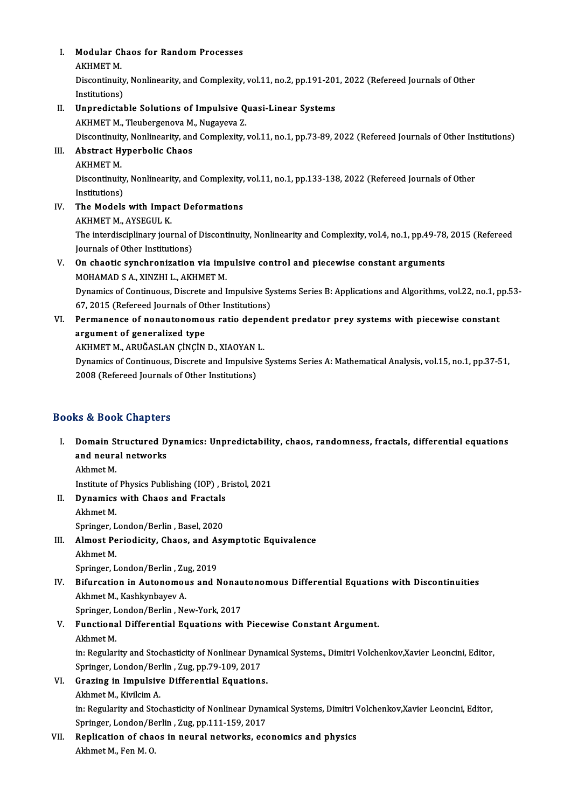- I. Modular Chaos for Random Processes<br>AKUMET M Modular Cl<br>AKHMET M.<br>Discontinuit
	-

Modular Chaos for Random Processes<br>AKHMET M.<br>Discontinuity, Nonlinearity, and Complexity, vol.11, no.2, pp.191-201, 2022 (Refereed Journals of Other<br>Institutione) AKHMET M.<br>Discontinuity<br>Institutions)<br>Unnredictal Discontinuity, Nonlinearity, and Complexity, vol.11, no.2, pp.191-201<br>Institutions)<br>II. Unpredictable Solutions of Impulsive Quasi-Linear Systems<br>AKUMET M. Tloubergeneur M. Nugayeus 7

# Institutions)<br>Unpredictable Solutions of Impulsive Q<br>AKHMET M., Tleubergenova M., Nugayeva Z.<br>Discontinuity Noplinearity and Complexity

Unpredictable Solutions of Impulsive Quasi-Linear Systems<br>AKHMET M., Tleubergenova M., Nugayeva Z.<br>Discontinuity, Nonlinearity, and Complexity, vol.11, no.1, pp.73-89, 2022 (Refereed Journals of Other Institutions)<br>Abstras

## AKHMET M., Tleubergenova M., Nugayeva Z.<br>Discontinuity, Nonlinearity, and Complexity,<br>III. Abstract Hyperbolic Chaos<br>AKHMET M. Discontinuit<br>**Abstract H**<br>AKHMET M.<br>Discontinuit

Abstract Hyperbolic Chaos<br>AKHMET M.<br>Discontinuity, Nonlinearity, and Complexity, vol.11, no.1, pp.133-138, 2022 (Refereed Journals of Other<br>Institutions) AKHMET M<br>Discontinuity<br>Institutions)<br>The Models Discontinuity, Nonlinearity, and Complexity,<br>Institutions)<br>IV. The Models with Impact Deformations

Institutions)<br><mark>The Models with Impa</mark><br>AKHMET M., AYSEGUL K.<br>The interdisciplinery jour The Models with Impact Deformations<br>AKHMET M., AYSEGUL K.<br>The interdisciplinary journal of Discontinuity, Nonlinearity and Complexity, vol.4, no.1, pp.49-78, 2015 (Refereed<br>Journals of Other Institutions) AKHMET M., AYSEGUL K.<br>The interdisciplinary journal of<br>Journals of Other Institutions)<br>On cheotic sunchronization

## The interdisciplinary journal of Discontinuity, Nonlinearity and Complexity, vol.4, no.1, pp.49-78<br>Journals of Other Institutions)<br>V. On chaotic synchronization via impulsive control and piecewise constant arguments<br>MOUAMA Journals of Other Institutions)<br>V. On chaotic synchronization via impulsive control and piecewise constant arguments<br>MOHAMAD S A., XINZHI L., AKHMET M. On chaotic synchronization via impulsive control and piecewise constant arguments<br>MOHAMAD S A., XINZHI L., AKHMET M.<br>Dynamics of Continuous, Discrete and Impulsive Systems Series B: Applications and Algorithms, vol.22, no.

MOHAMAD S A., XINZHI L., AKHMET M.<br>Dynamics of Continuous, Discrete and Impulsive Sy<br>67, 2015 (Refereed Journals of Other Institutions)<br>Permanance of nanautanomous ratio danand Dynamics of Continuous, Discrete and Impulsive Systems Series B: Applications and Algorithms, vol.22, no.1, p<br>67, 2015 (Refereed Journals of Other Institutions)<br>VI. Permanence of nonautonomous ratio dependent predator prey

# **67, 2015 (Refereed Journals of Ot**<br>Permanence of nonautonomou<br>argument of generalized type<br>AKUMET MAABUČASLAN CINCIN Permanence of nonautonomous ratio deper<br>argument of generalized type<br>AKHMET M., ARUĞASLAN ÇİNÇİN D., XIAOYAN L.<br>Dynamics of Continuous, Discrete and Impulsive

argument of generalized type<br>AKHMET M., ARUĞASLAN ÇİNÇİN D., XIAOYAN L.<br>Dynamics of Continuous, Discrete and Impulsive Systems Series A: Mathematical Analysis, vol.15, no.1, pp.37-51,<br>2008 (Pefereed Journals of Other Insti AKHMET M., ARUĞASLAN ÇİNÇİN D., XIAOYAN<br>Dynamics of Continuous, Discrete and Impulsiv<br>2008 (Refereed Journals of Other Institutions) 2008 (Refereed Journals of Other Institutions)<br>Books & Book Chapters

- ooks & Book Chapters<br>I. Domain Structured Dynamics: Unpredictability, chaos, randomness, fractals, differential equations<br>. and neural natworks and neural networks<br>and neural networks<br>Akhmat M Domain S<br>and neura<br>Akhmet M.<br>Institute of and neural networks<br>Akhmet M.<br>Institute of Physics Publishing (IOP) , Bristol, 2021<br>Dunamics with Chaes and Enastals
	-

Akhmet M.<br>Institute of Physics Publishing (IOP), B.<br>II. Dynamics with Chaos and Fractals Institute of<br>Dynamics<br>Akhmet M.<br>Springer J **Dynamics with Chaos and Fractals<br>Akhmet M.<br>Springer, London/Berlin, Basel, 2020** 

## Akhmet M.<br>Springer, London/Berlin , Basel, 2020<br>III. Almost Periodicity, Chaos, and Asymptotic Equivalence Springer, L<br>Almost Pe<br>Akhmet M.<br>Springer J Almost Periodicity, Chaos, and A:<br>Akhmet M.<br>Springer, London/Berlin , Zug, 2019<br>Pifurcation in Autonomous and N

### Akhmet M.<br>Springer, London/Berlin , Zug, 2019<br>IV. Bifurcation in Autonomous and Nonautonomous Differential Equations with Discontinuities Springer, London/Berlin , Zu<br>Bifurcation in Autonomou<br>Akhmet M., Kashkynbayev A.<br>Springer London/Berlin , Na Bifurcation in Autonomous and Nonau<br>Akhmet M., Kashkynbayev A.<br>Springer, London/Berlin , New-York, 2017<br>Eunstianal Differential Equations with Akhmet M., Kashkynbayev A.<br>Springer, London/Berlin , New-York, 2017<br>V. Functional Differential Equations with Piecewise Constant Argument.<br>Akhmet M.

Springer, London/Berlin, New-York, 2017

in: Regularity and Stochasticity of Nonlinear Dynamical Systems., Dimitri Volchenkov,Xavier Leoncini, Editor, Akhmet M.<br>in: Regularity and Stochasticity of Nonlinear Dyn<br>Springer, London/Berlin , Zug, pp.79-109, 2017<br>Creging in Impulsive Differential Equations

### VI. Grazing in Impulsive Differential Equations. Springer, London/Ber<br>Grazing in Impulsive<br>Akhmet M., Kivilcim A.<br>in: Pecularity and Stac

Grazing in Impulsive Differential Equations.<br>Akhmet M., Kivilcim A.<br>in: Regularity and Stochasticity of Nonlinear Dynamical Systems, Dimitri Volchenkov,Xavier Leoncini, Editor,<br>Springer, London (Berlin, Zug np.111,150,2017 Akhmet M., Kivilcim A.<br>in: Regularity and Stochasticity of Nonlinear Dyna<br>Springer, London/Berlin , Zug, pp.111-159, 2017<br>Boplisation of shaos in nouvel naturalis, ass Springer, London/Berlin, Zug, pp.111-159, 2017

VII. Replication of chaos in neural networks, economics and physics<br>Akhmet M., Fen M. O.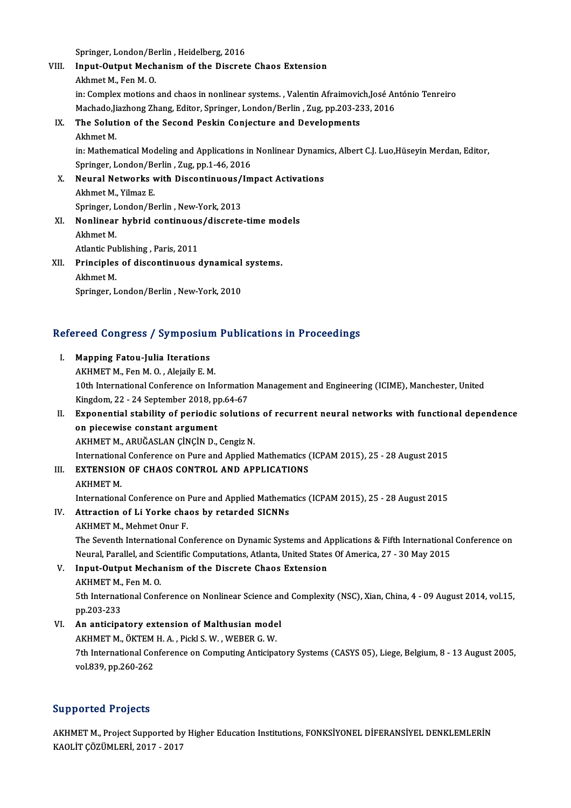Springer, London/Berlin, Heidelberg, 2016

Springer, London/Berlin , Heidelberg, 2016<br>VIII. Input-Output Mechanism of the Discrete Chaos Extension Springer, London/Be<br>I<mark>nput-Output Mech</mark><br>Akhmet M., Fen M. O.<br>in: Compley mations Input-Output Mechanism of the Discrete Chaos Extension<br>Akhmet M., Fen M. O.<br>in: Complex motions and chaos in nonlinear systems. , Valentin Afraimovich,José António Tenreiro<br>Mechade lischang Zhang Editor Springer, London (B Akhmet M., Fen M. O.<br>in: Complex motions and chaos in nonlinear systems. , Valentin Afraimovich,José Ar<br>Machado,Jiazhong Zhang, Editor, Springer, London/Berlin , Zug, pp.203-233, 2016<br>The Solution of the Second Boskin Conj IX. The Solution of the Second Peskin Conjecture and Developments Machado, Jiazhong Zhang, Editor, Springer, London/Berlin, Zug, pp.203-233, 2016 The Solution of the Second Peskin Conjecture and Developments<br>Akhmet M.<br>in: Mathematical Modeling and Applications in Nonlinear Dynamics, Albert C.J. Luo,Hüseyin Merdan, Editor,<br>Springer, London (Berlin, Zug pp.1.46-2016) Akhmet M.<br>in: Mathematical Modeling and Applications in<br>Springer, London/Berlin , Zug, pp.1-46, 2016<br>Nouvel Networks with Dissentinuous (Im in: Mathematical Modeling and Applications in Nonlinear Dynami<br>Springer, London/Berlin , Zug, pp.1-46, 2016<br>X. Neural Networks with Discontinuous/Impact Activations<br>Althmat M. Vilmar E Springer, London/Be<br>Neural Networks<br>Akhmet M., Yilmaz E.<br>Springer, London/Be Neural Networks with Discontinuous/<br>Akhmet M., Yilmaz E.<br>Springer, London/Berlin , New-York, 2013<br>Neplineer bybrid sentinuous/discrete

- Akhmet M., Yilmaz E.<br>Springer, London/Berlin , New-York, 2013<br>XI. Nonlinear hybrid continuous/discrete-time models Springer, L<br>Nonlinear<br>Akhmet M.<br>Atlantis Pu **Nonlinear hybrid continuous<br>Akhmet M.<br>Atlantic Publishing , Paris, 2011** Akhmet M.<br>Atlantic Publishing , Paris, 2011<br>XII. Principles of discontinuous dynamical systems.
- Atlantic Publishing , Paris, 2011<br>Principles of discontinuous dynamical<br>Akhmet M.<br>Springer, London/Berlin , New-York, 2010 Principles of discontinuous dynamical<br>Akhmet M.<br>Springer, London/Berlin , New-York, 2010

# springer, London/Berlin , New-York, 2010<br>Refereed Congress / Symposium Publications in Proceedings

- efereed Congress / Symposiur<br>I. Mapping Fatou-Julia Iterations<br>AKUMET M. For M. O. Algially E. M I. Mapping Fatou-Julia Iterations<br>AKHMET M., Fen M. O., Alejaily E. M. 10th International Conference on Information Management and Engineering (ICIME), Manchester, United AKHMET M., Fen M. O. , Alejaily E. M.<br>10th International Conference on Information<br>Kingdom, 22 - 24 September 2018, pp.64-67<br>Exponential stability of poriodia solutio 10th International Conference on Information Management and Engineering (ICIME), Manchester, United<br>Kingdom, 22 - 24 September 2018, pp.64-67<br>II. Exponential stability of periodic solutions of recurrent neural networks wit
- Kingdom, 22 24 September 2018, p<br>Exponential stability of periodic<br>on piecewise constant argument<br>AKUMET M. ABUČASLAN CINCIN D Exponential stability of periodic solution<br>on piecewise constant argument<br>AKHMET M., ARUĞASLAN ÇİNÇİN D., Cengiz N.<br>International Conference on Pure and Annlied on piecewise constant argument<br>AKHMET M., ARUĞASLAN ÇİNÇİN D., Cengiz N.<br>International Conference on Pure and Applied Mathematics (ICPAM 2015), 25 - 28 August 2015<br>EXTENSION OF CHAOS CONTROL AND APPLICATIONS AKHMET M., ARUĞASLAN ÇİNÇİN D., Cengiz N.<br>International Conference on Pure and Applied Mathematics (<br>III. EXTENSION OF CHAOS CONTROL AND APPLICATIONS
- Internationa<br>EXTENSION<br>AKHMET M.<br>Internationa

III. EXTENSION OF CHAOS CONTROL AND APPLICATIONS<br>AKHMET M.<br>International Conference on Pure and Applied Mathematics (ICPAM 2015), 25 - 28 August 2015

AKHMET M.<br>International Conference on Pure and Applied Mathema<br>IV. Attraction of Li Yorke chaos by retarded SICNNs International Conference on l<br>Attraction of Li Yorke cha<br>AKHMET M., Mehmet Onur F.<br>The Seventh International Co

Attraction of Li Yorke chaos by retarded SICNNs<br>AKHMET M., Mehmet Onur F.<br>The Seventh International Conference on Dynamic Systems and Applications & Fifth International Conference on<br>Naural Parallel and Scientific Computat AKHMET M., Mehmet Onur F.<br>The Seventh International Conference on Dynamic Systems and Applications & Fifth International<br>Neural, Parallel, and Scientific Computations, Atlanta, United States Of America, 27 - 30 May 2015<br>In The Seventh International Conference on Dynamic Systems and A<br>Neural, Parallel, and Scientific Computations, Atlanta, United States<br>V. Input-Output Mechanism of the Discrete Chaos Extension<br>AVUMET M. For M. O.

Neural, Parallel, and Scientific Computations, Atlanta, United States Of America, 27 - 30 May 2015<br>V. Input-Output Mechanism of the Discrete Chaos Extension<br>AKHMET M., Fen M. O.

Input-Output Mechanism of the Discrete Chaos Extension<br>AKHMET M., Fen M. O.<br>5th International Conference on Nonlinear Science and Complexity (NSC), Xian, China, 4 - 09 August 2014, vol.15,<br>nn 202 222 AKHMET M.,<br>5th Internati<br>pp.203-233<br>An anticina Sth International Conference on Nonlinear Science an<br>pp.203-233<br>VI. An anticipatory extension of Malthusian model<br>AVUMET M. ÖVTEM H.A. Bisk S. W. WEBER C. W.

pp.203-233<br>An anticipatory extension of Malthusian mode<br>AKHMET M., ÖKTEM H. A. , Pickl S. W. , WEBER G. W.<br>7th International Conference on Computing Anticine 7th International Conference on Computing Anticipatory Systems (CASYS 05), Liege, Belgium, 8 - 13 August 2005,<br>vol.839, pp.260-262 AKHMET M., ÖKTEM H. A., Pickl S. W., WEBER G. W.

### Supported Projects

Supported Projects<br>AKHMET M., Project Supported by Higher Education Institutions, FONKSİYONEL DİFERANSİYEL DENKLEMLERİN<br>KAQLİT GÖZÜMLERİ 2017, 2017 Supported Trojects<br>AKHMET M., Project Supported by<br>KAOLİT ÇÖZÜMLERİ, 2017 - 2017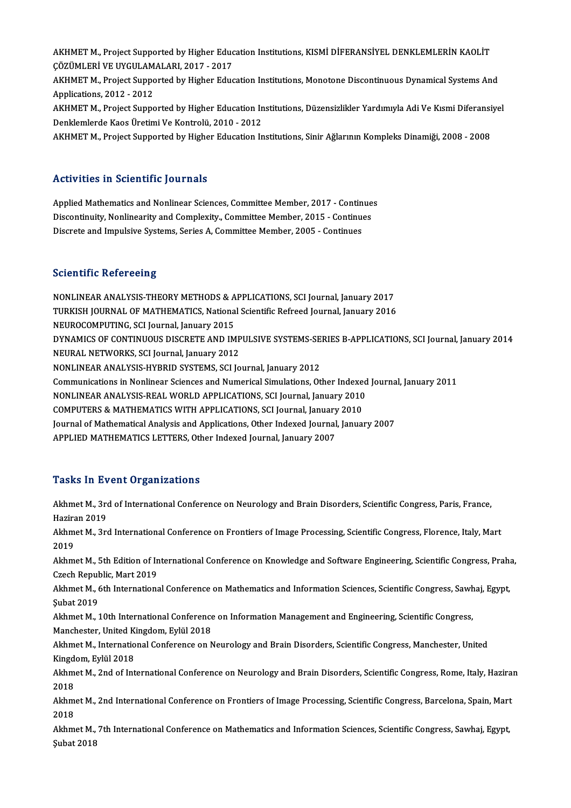AKHMET M., Project Supported by Higher Education Institutions, KISMİ DİFERANSİYEL DENKLEMLERİN KAOLİT<br>GÖZÜMLERİ VE UYÇULAMALARL 2017, 2017 AKHMET M., Project Supported by Higher Educ<br>ÇÖZÜMLERİ VE UYGULAMALARI, 2017 - 2017<br>AKHMET M. Project Supported by Higher Educ AKHMET M., Project Supported by Higher Education Institutions, KISMİ DİFERANSİYEL DENKLEMLERİN KAOLİT<br>ÇÖZÜMLERİ VE UYGULAMALARI, 2017 - 2017<br>AKHMET M., Project Supported by Higher Education Institutions, Monotone Discontin ÇÖZÜMLERİ VE UYGULAMALARI, 2017 - 2017<br>AKHMET M., Project Supported by Higher Education Institutions, Monotone Discontinuous Dynamical Systems And<br>Applications. 2012 - 2012 AKHMET M., Project Supported by Higher Education Institutions, Monotone Discontinuous Dynamical Systems And<br>Applications, 2012 - 2012<br>AKHMET M., Project Supported by Higher Education Institutions, Düzensizlikler Yardımıyla Applications, 2012 - 2012<br>AKHMET M., Project Supported by Higher Education In<br>Denklemlerde Kaos Üretimi Ve Kontrolü, 2010 - 2012<br>AKHMET M. Project Supported by Higher Education In AKHMET M., Project Supported by Higher Education Institutions, Düzensizlikler Yardımıyla Adi Ve Kısmi Diferansi<br>Denklemlerde Kaos Üretimi Ve Kontrolü, 2010 - 2012<br>AKHMET M., Project Supported by Higher Education Institutio AKHMET M., Project Supported by Higher Education Institutions, Sinir Ağlarının Kompleks Dinamiği, 2008 - 2008<br>Activities in Scientific Journals

Activities in Scientific Journals<br>Applied Mathematics and Nonlinear Sciences, Committee Member, 2017 - Continues<br>Discontinuity Nonlinearity and Complexity, Committee Member, 2015, Continues Replied Mathematics and Nonlinear Sciences, Committee Member, 2017 - Continue<br>Discontinuity, Nonlinearity and Complexity., Committee Member, 2015 - Continues<br>Discrete and Impulsive Systems, Series A. Committee Member, 2005 Applied Mathematics and Nonlinear Sciences, Committee Member, 2017 - Contin<br>Discontinuity, Nonlinearity and Complexity., Committee Member, 2015 - Continue<br>Discrete and Impulsive Systems, Series A, Committee Member, 2005 - Discrete and Impulsive Systems, Series A, Committee Member, 2005 - Continues<br>Scientific Refereeing

NONLINEARANALYSIS-THEORYMETHODS&APPLICATIONS,SCI Journal, January2017 DOCONCINES NOTOTOONS<br>NONLINEAR ANALYSIS-THEORY METHODS & APPLICATIONS, SCI Journal, January 2017<br>TURKISH JOURNAL OF MATHEMATICS, National Scientific Refreed Journal, January 2016<br>NEUROCOMPUTING, SCI Journal January 2015 NONLINEAR ANALYSIS-THEORY METHODS & A<br>TURKISH JOURNAL OF MATHEMATICS, Nationa<br>NEUROCOMPUTING, SCI Journal, January 2015<br>DYNAMICS OF CONTINUOUS DISCRETE AND IM TURKISH JOURNAL OF MATHEMATICS, National Scientific Refreed Journal, January 2016<br>NEUROCOMPUTING, SCI Journal, January 2015<br>DYNAMICS OF CONTINUOUS DISCRETE AND IMPULSIVE SYSTEMS-SERIES B-APPLICATIONS, SCI Journal, January NEUROCOMPUTING, SCI Journal, January 2015<br>DYNAMICS OF CONTINUOUS DISCRETE AND IMP<br>NEURAL NETWORKS, SCI Journal, January 2012<br>NONI INEAP ANALYSIS UVPRID SYSTEMS, SCLIO NEURAL NETWORKS, SCI Journal, January 2012<br>NONLINEAR ANALYSIS-HYBRID SYSTEMS, SCI Journal, January 2012 NEURAL NETWORKS, SCI Journal, January 2012<br>NONLINEAR ANALYSIS-HYBRID SYSTEMS, SCI Journal, January 2012<br>Communications in Nonlinear Sciences and Numerical Simulations, Other Indexed Journal, January 2011<br>NONLINEAR ANALYSIS NONLINEAR ANALYSIS-HYBRID SYSTEMS, SCI Journal, January 2012<br>Communications in Nonlinear Sciences and Numerical Simulations, Other Indexed<br>NONLINEAR ANALYSIS-REAL WORLD APPLICATIONS, SCI Journal, January 2010<br>COMPUTERS & M Communications in Nonlinear Sciences and Numerical Simulations, Other Indexent<br>NONLINEAR ANALYSIS-REAL WORLD APPLICATIONS, SCI Journal, January 2010<br>COMPUTERS & MATHEMATICS WITH APPLICATIONS, SCI Journal, January 2010<br>Jour NONLINEAR ANALYSIS-REAL WORLD APPLICATIONS, SCI Journal, January 2010<br>COMPUTERS & MATHEMATICS WITH APPLICATIONS, SCI Journal, January 2010<br>Journal of Mathematical Analysis and Applications, Other Indexed Journal, January 2 COMPUTERS & MATHEMATICS WITH APPLICATIONS, SCI Journal, January<br>Journal of Mathematical Analysis and Applications, Other Indexed Journal<br>APPLIED MATHEMATICS LETTERS, Other Indexed Journal, January 2007 APPLIED MATHEMATICS LETTERS, Other Indexed Journal, January 2007<br>Tasks In Event Organizations

Tasks In Event Organizations<br>Akhmet M., 3rd of International Conference on Neurology and Brain Disorders, Scientific Congress, Paris, France,<br>Hagiran 2019 Haziran<br>Akhmet M., 3rd<br>Haziran 2019<br>Akhmet M. 3rd Akhmet M., 3rd International Conference on Frontiers of Image Processing, Scientific Congress, Florence, Italy, Mart<br>2019 Haziran 2019 Akhmet M., 3rd International Conference on Frontiers of Image Processing, Scientific Congress, Florence, Italy, Mart<br>2019<br>Akhmet M., 5th Edition of International Conference on Knowledge and Software Engineering, Scientific 2019<br>Akhmet M., 5th Edition of In<br>Czech Republic, Mart 2019<br>Akhmet M., 6th Internations Akhmet M., 5th Edition of International Conference on Knowledge and Software Engineering, Scientific Congress, Prah<br>Czech Republic, Mart 2019<br>Akhmet M., 6th International Conference on Mathematics and Information Sciences, Czech Republic, Mart 2019<br>Akhmet M., 6th International Conference on Mathematics and Information Sciences, Scientific Congress, Sawhaj, Egypt,<br>Subat 2019 Akhmet M., 6th International Conference on Mathematics and Information Sciences, Scientific Congress, Sawh<br>Şubat 2019<br>Akhmet M., 10th International Conference on Information Management and Engineering, Scientific Congress, Subat 2019<br>Akhmet M., 10th International Conference<br>Manchester, United Kingdom, Eylül 2018<br>Akhmet M. International Conference on N Akhmet M., 10th International Conference on Information Management and Engineering, Scientific Congress,<br>Manchester, United Kingdom, Eylül 2018<br>Akhmet M., International Conference on Neurology and Brain Disorders, Scientif Manchester, United K<br>Akhmet M., Internatio<br>Kingdom, Eylül 2018<br>Akhmet M., 2nd of Int Akhmet M., International Conference on Neurology and Brain Disorders, Scientific Congress, Manchester, United<br>Kingdom, Eylül 2018<br>Akhmet M., 2nd of International Conference on Neurology and Brain Disorders, Scientific Cong Kingdom, Eylül 2018<br>Akhmet M., 2nd of International Conference on Neurology and Brain Disorders, Scientific Congress, Rome, Italy, Haziran<br>2018 Akhmet M., 2nd of International Conference on Neurology and Brain Disorders, Scientific Congress, Rome, Italy, Hazira<br>2018<br>Akhmet M., 2nd International Conference on Frontiers of Image Processing, Scientific Congress, Barc 2018<br>Akhm<br>2018<br>Akhm Akhmet M., 2nd International Conference on Frontiers of Image Processing, Scientific Congress, Barcelona, Spain, Mart<br>2018<br>Akhmet M., 7th International Conference on Mathematics and Information Sciences, Scientific Congres 2018<br>Akhmet M., 7th International Conference on Mathematics and Information Sciences, Scientific Congress, Sawhaj, Egypt,<br>Subat 2018